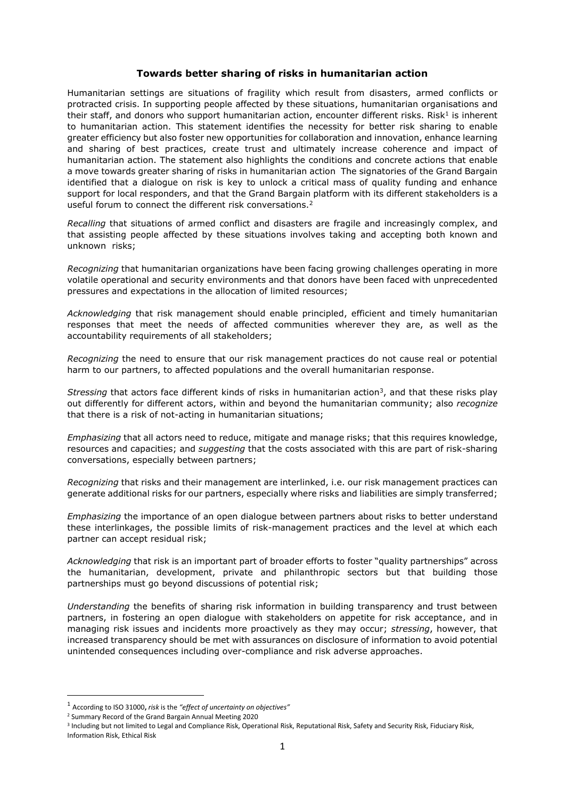## **Towards better sharing of risks in humanitarian action**

Humanitarian settings are situations of fragility which result from disasters, armed conflicts or protracted crisis. In supporting people affected by these situations, humanitarian organisations and their staff, and donors who support humanitarian action, encounter different risks. Risk<sup>1</sup> is inherent to humanitarian action. This statement identifies the necessity for better risk sharing to enable greater efficiency but also foster new opportunities for collaboration and innovation, enhance learning and sharing of best practices, create trust and ultimately increase coherence and impact of humanitarian action. The statement also highlights the conditions and concrete actions that enable a move towards greater sharing of risks in humanitarian action The signatories of the Grand Bargain identified that a dialogue on risk is key to unlock a critical mass of quality funding and enhance support for local responders, and that the Grand Bargain platform with its different stakeholders is a useful forum to connect the different risk conversations.<sup>2</sup>

*Recalling* that situations of armed conflict and disasters are fragile and increasingly complex, and that assisting people affected by these situations involves taking and accepting both known and unknown risks;

*Recognizing* that humanitarian organizations have been facing growing challenges operating in more volatile operational and security environments and that donors have been faced with unprecedented pressures and expectations in the allocation of limited resources;

*Acknowledging* that risk management should enable principled, efficient and timely humanitarian responses that meet the needs of affected communities wherever they are, as well as the accountability requirements of all stakeholders;

*Recognizing* the need to ensure that our risk management practices do not cause real or potential harm to our partners, to affected populations and the overall humanitarian response.

Stressing that actors face different kinds of risks in humanitarian action<sup>3</sup>, and that these risks play out differently for different actors, within and beyond the humanitarian community; also *recognize*  that there is a risk of not-acting in humanitarian situations;

*Emphasizing* that all actors need to reduce, mitigate and manage risks; that this requires knowledge, resources and capacities; and *suggesting* that the costs associated with this are part of risk-sharing conversations, especially between partners;

*Recognizing* that risks and their management are interlinked, i.e. our risk management practices can generate additional risks for our partners, especially where risks and liabilities are simply transferred;

*Emphasizing* the importance of an open dialogue between partners about risks to better understand these interlinkages, the possible limits of risk-management practices and the level at which each partner can accept residual risk;

*Acknowledging* that risk is an important part of broader efforts to foster "quality partnerships" across the humanitarian, development, private and philanthropic sectors but that building those partnerships must go beyond discussions of potential risk;

*Understanding* the benefits of sharing risk information in building transparency and trust between partners, in fostering an open dialogue with stakeholders on appetite for risk acceptance, and in managing risk issues and incidents more proactively as they may occur; *stressing*, however, that increased transparency should be met with assurances on disclosure of information to avoid potential unintended consequences including over-compliance and risk adverse approaches.

 $\overline{\phantom{a}}$ 

<sup>1</sup> According to ISO 31000**,** *risk* is the *"effect of uncertainty on objectives"*

<sup>2</sup> Summary Record of the Grand Bargain Annual Meeting 2020

<sup>&</sup>lt;sup>3</sup> Including but not limited to Legal and Compliance Risk, Operational Risk, Reputational Risk, Safety and Security Risk, Fiduciary Risk, Information Risk, Ethical Risk